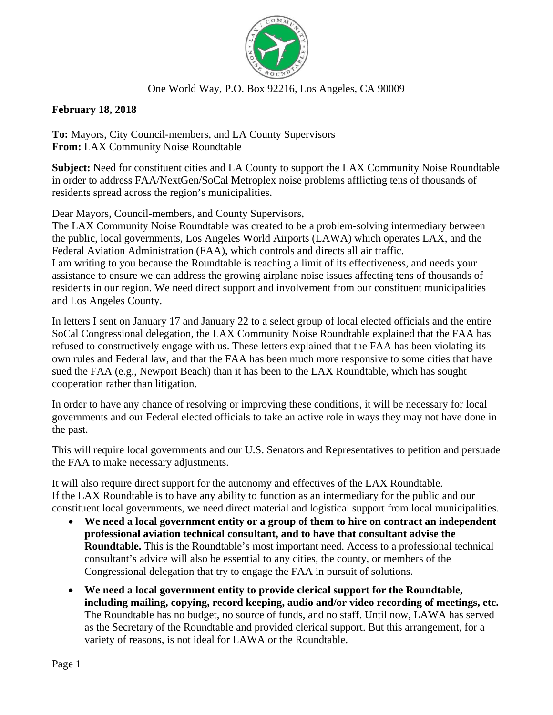

## One World Way, P.O. Box 92216, Los Angeles, CA 90009

**February 18, 2018** 

To: Mayors, City Council-members, and LA County Supervisors From: LAX Community Noise Roundtable

Subject: Need for constituent cities and LA County to support the LAX Community Noise Roundtable in order to address FAA/NextGen/SoCal Metroplex noise problems afflicting tens of thousands of residents spread across the region's municipalities.

Dear Mayors, Council-members, and County Supervisors,

The LAX Community Noise Roundtable was created to be a problem-solving intermediary between the public, local governments, Los Angeles World Airports (LAWA) which operates LAX, and the Federal Aviation Administration (FAA), which controls and directs all air traffic. I am writing to you because the Roundtable is reaching a limit of its effectiveness, and needs your assistance to ensure we can address the growing airplane noise issues affecting tens of thousands of residents in our region. We need direct support and involvement from our constituent municipalities and Los Angeles County.

In letters I sent on January 17 and January 22 to a select group of local elected officials and the entire SoCal Congressional delegation, the LAX Community Noise Roundtable explained that the FAA has refused to constructively engage with us. These letters explained that the FAA has been violating its own rules and Federal law, and that the FAA has been much more responsive to some cities that have sued the FAA (e.g., Newport Beach) than it has been to the LAX Roundtable, which has sought cooperation rather than litigation.

In order to have any chance of resolving or improving these conditions, it will be necessary for local governments and our Federal elected officials to take an active role in ways they may not have done in the past.

This will require local governments and our U.S. Senators and Representatives to petition and persuade the FAA to make necessary adjustments.

It will also require direct support for the autonomy and effectives of the LAX Roundtable. If the LAX Roundtable is to have any ability to function as an intermediary for the public and our constituent local governments, we need direct material and logistical support from local municipalities.

- We need a local government entity or a group of them to hire on contract an independent professional aviation technical consultant, and to have that consultant advise the **Roundtable.** This is the Roundtable's most important need. Access to a professional technical consultant's advice will also be essential to any cities, the county, or members of the Congressional delegation that try to engage the FAA in pursuit of solutions.
- We need a local government entity to provide clerical support for the Roundtable, including mailing, copying, record keeping, audio and/or video recording of meetings, etc. The Roundtable has no budget, no source of funds, and no staff. Until now, LAWA has served as the Secretary of the Roundtable and provided clerical support. But this arrangement, for a variety of reasons, is not ideal for LAWA or the Roundtable.